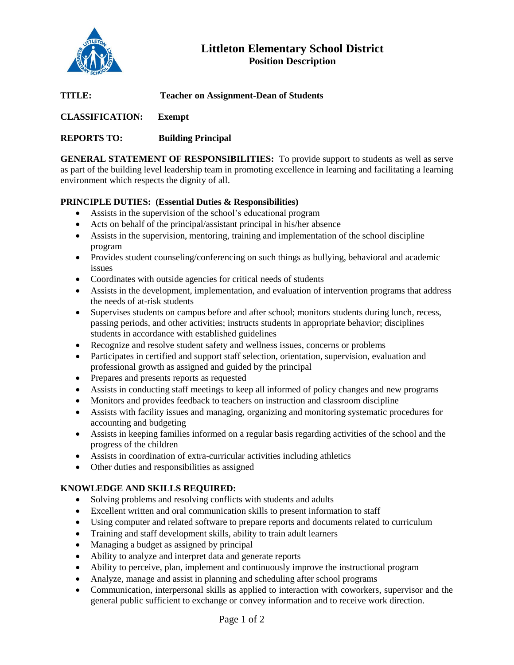

# **Littleton Elementary School District Position Description**

**TITLE: Teacher on Assignment-Dean of Students**

**CLASSIFICATION: Exempt**

## **REPORTS TO: Building Principal**

**GENERAL STATEMENT OF RESPONSIBILITIES:** To provide support to students as well as serve as part of the building level leadership team in promoting excellence in learning and facilitating a learning environment which respects the dignity of all.

## **PRINCIPLE DUTIES: (Essential Duties & Responsibilities)**

- Assists in the supervision of the school's educational program
- Acts on behalf of the principal/assistant principal in his/her absence
- Assists in the supervision, mentoring, training and implementation of the school discipline program
- Provides student counseling/conferencing on such things as bullying, behavioral and academic issues
- Coordinates with outside agencies for critical needs of students
- Assists in the development, implementation, and evaluation of intervention programs that address the needs of at-risk students
- Supervises students on campus before and after school; monitors students during lunch, recess, passing periods, and other activities; instructs students in appropriate behavior; disciplines students in accordance with established guidelines
- Recognize and resolve student safety and wellness issues, concerns or problems
- Participates in certified and support staff selection, orientation, supervision, evaluation and professional growth as assigned and guided by the principal
- Prepares and presents reports as requested
- Assists in conducting staff meetings to keep all informed of policy changes and new programs
- Monitors and provides feedback to teachers on instruction and classroom discipline
- Assists with facility issues and managing, organizing and monitoring systematic procedures for accounting and budgeting
- Assists in keeping families informed on a regular basis regarding activities of the school and the progress of the children
- Assists in coordination of extra-curricular activities including athletics
- Other duties and responsibilities as assigned

#### **KNOWLEDGE AND SKILLS REQUIRED:**

- Solving problems and resolving conflicts with students and adults
- Excellent written and oral communication skills to present information to staff
- Using computer and related software to prepare reports and documents related to curriculum
- Training and staff development skills, ability to train adult learners
- Managing a budget as assigned by principal
- Ability to analyze and interpret data and generate reports
- Ability to perceive, plan, implement and continuously improve the instructional program
- Analyze, manage and assist in planning and scheduling after school programs
- Communication, interpersonal skills as applied to interaction with coworkers, supervisor and the general public sufficient to exchange or convey information and to receive work direction.